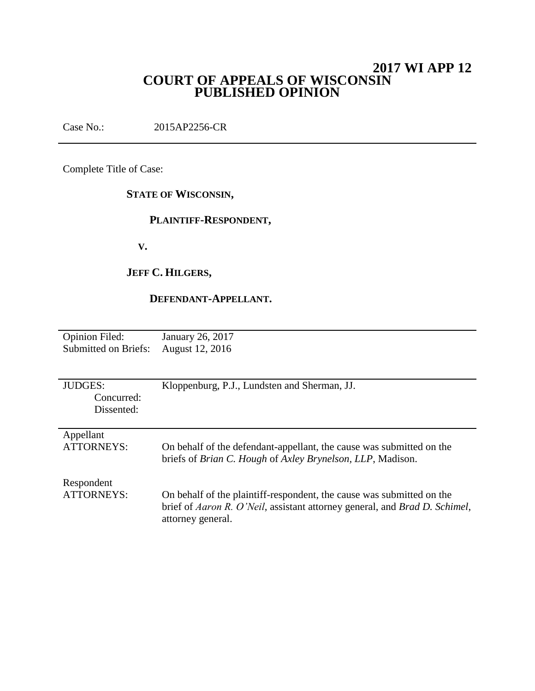## **2017 WI APP 12 COURT OF APPEALS OF WISCONSIN PUBLISHED OPINION**

Case No.: 2015AP2256-CR

Complete Title of Case:

## **STATE OF WISCONSIN,**

## **PLAINTIFF-RESPONDENT,**

 **V.**

## **JEFF C. HILGERS,**

## **DEFENDANT-APPELLANT.**

| <b>Opinion Filed:</b> | January 26, 2017 |
|-----------------------|------------------|
| Submitted on Briefs:  | August 12, 2016  |

| <b>JUDGES:</b><br>Concurred:<br>Dissented: | Kloppenburg, P.J., Lundsten and Sherman, JJ.                                                                                                                             |
|--------------------------------------------|--------------------------------------------------------------------------------------------------------------------------------------------------------------------------|
| Appellant<br><b>ATTORNEYS:</b>             | On behalf of the defendant-appellant, the cause was submitted on the<br>briefs of Brian C. Hough of Axley Brynelson, LLP, Madison.                                       |
| Respondent<br><b>ATTORNEYS:</b>            | On behalf of the plaintiff-respondent, the cause was submitted on the<br>brief of Aaron R. O'Neil, assistant attorney general, and Brad D. Schimel,<br>attorney general. |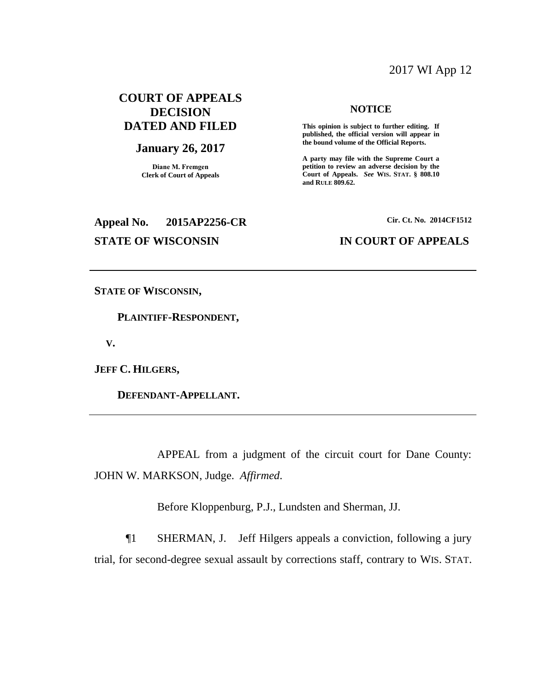## 2017 WI App 12

## **COURT OF APPEALS DECISION DATED AND FILED**

#### **January 26, 2017**

**Diane M. Fremgen Clerk of Court of Appeals**

# **Appeal No. 2015AP2256-CR Cir. Ct. No. 2014CF1512 STATE OF WISCONSIN IN COURT OF APPEALS**

#### **NOTICE**

**This opinion is subject to further editing. If published, the official version will appear in the bound volume of the Official Reports.** 

**A party may file with the Supreme Court a petition to review an adverse decision by the Court of Appeals.** *See* **WIS. STAT. § 808.10 and RULE 809.62.** 

**STATE OF WISCONSIN,**

 **PLAINTIFF-RESPONDENT,**

 **V.**

**JEFF C. HILGERS,**

 **DEFENDANT-APPELLANT.**

APPEAL from a judgment of the circuit court for Dane County: JOHN W. MARKSON, Judge. *Affirmed*.

Before Kloppenburg, P.J., Lundsten and Sherman, JJ.

¶1 SHERMAN, J. Jeff Hilgers appeals a conviction, following a jury trial, for second-degree sexual assault by corrections staff, contrary to WIS. STAT.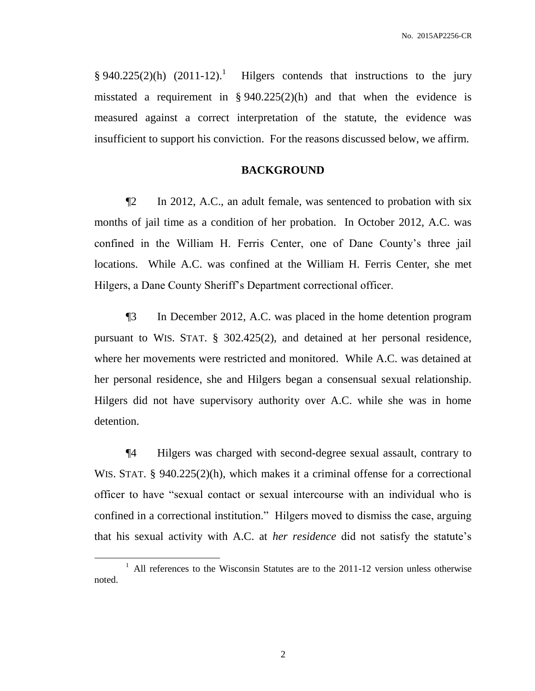$§ 940.225(2)(h) (2011-12).$  Hilgers contends that instructions to the jury misstated a requirement in § 940.225(2)(h) and that when the evidence is measured against a correct interpretation of the statute, the evidence was insufficient to support his conviction. For the reasons discussed below, we affirm.

## **BACKGROUND**

¶2 In 2012, A.C., an adult female, was sentenced to probation with six months of jail time as a condition of her probation. In October 2012, A.C. was confined in the William H. Ferris Center, one of Dane County's three jail locations. While A.C. was confined at the William H. Ferris Center, she met Hilgers, a Dane County Sheriff's Department correctional officer.

¶3 In December 2012, A.C. was placed in the home detention program pursuant to WIS. STAT. § 302.425(2), and detained at her personal residence, where her movements were restricted and monitored. While A.C. was detained at her personal residence, she and Hilgers began a consensual sexual relationship. Hilgers did not have supervisory authority over A.C. while she was in home detention.

¶4 Hilgers was charged with second-degree sexual assault, contrary to WIS. STAT. § 940.225(2)(h), which makes it a criminal offense for a correctional officer to have "sexual contact or sexual intercourse with an individual who is confined in a correctional institution." Hilgers moved to dismiss the case, arguing that his sexual activity with A.C. at *her residence* did not satisfy the statute's

 $\overline{a}$ 

<sup>&</sup>lt;sup>1</sup> All references to the Wisconsin Statutes are to the 2011-12 version unless otherwise noted.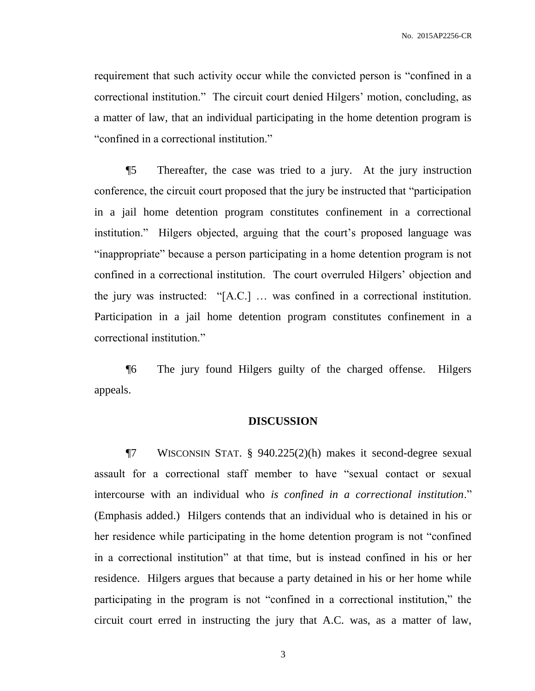requirement that such activity occur while the convicted person is "confined in a correctional institution." The circuit court denied Hilgers' motion, concluding, as a matter of law, that an individual participating in the home detention program is "confined in a correctional institution."

¶5 Thereafter, the case was tried to a jury. At the jury instruction conference, the circuit court proposed that the jury be instructed that "participation in a jail home detention program constitutes confinement in a correctional institution." Hilgers objected, arguing that the court's proposed language was "inappropriate" because a person participating in a home detention program is not confined in a correctional institution. The court overruled Hilgers' objection and the jury was instructed: "[A.C.] … was confined in a correctional institution. Participation in a jail home detention program constitutes confinement in a correctional institution."

¶6 The jury found Hilgers guilty of the charged offense. Hilgers appeals.

### **DISCUSSION**

¶7 WISCONSIN STAT. § 940.225(2)(h) makes it second-degree sexual assault for a correctional staff member to have "sexual contact or sexual intercourse with an individual who *is confined in a correctional institution*." (Emphasis added.) Hilgers contends that an individual who is detained in his or her residence while participating in the home detention program is not "confined in a correctional institution" at that time, but is instead confined in his or her residence. Hilgers argues that because a party detained in his or her home while participating in the program is not "confined in a correctional institution," the circuit court erred in instructing the jury that A.C. was, as a matter of law,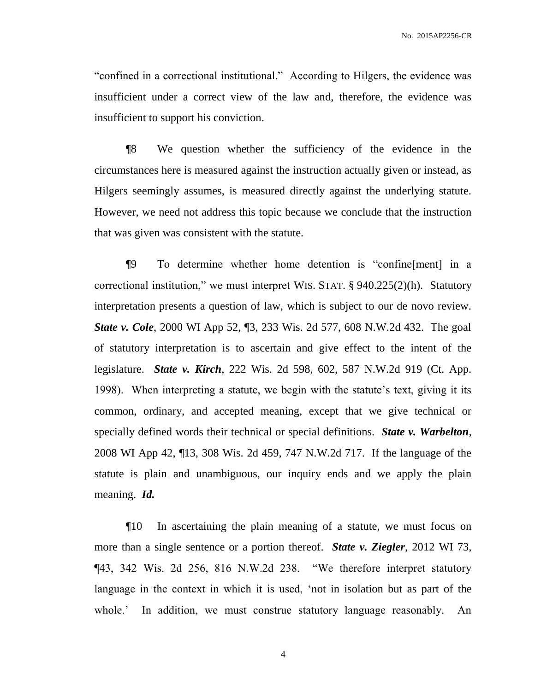"confined in a correctional institutional." According to Hilgers, the evidence was insufficient under a correct view of the law and, therefore, the evidence was insufficient to support his conviction.

¶8 We question whether the sufficiency of the evidence in the circumstances here is measured against the instruction actually given or instead, as Hilgers seemingly assumes, is measured directly against the underlying statute. However, we need not address this topic because we conclude that the instruction that was given was consistent with the statute.

¶9 To determine whether home detention is "confine[ment] in a correctional institution," we must interpret WIS. STAT. § 940.225(2)(h). Statutory interpretation presents a question of law, which is subject to our de novo review. *State v. Cole*, 2000 WI App 52, ¶3, 233 Wis. 2d 577, 608 N.W.2d 432. The goal of statutory interpretation is to ascertain and give effect to the intent of the legislature. *State v. Kirch*, 222 Wis. 2d 598, 602, 587 N.W.2d 919 (Ct. App. 1998). When interpreting a statute, we begin with the statute's text, giving it its common, ordinary, and accepted meaning, except that we give technical or specially defined words their technical or special definitions. *State v. Warbelton*, 2008 WI App 42, ¶13, 308 Wis. 2d 459, 747 N.W.2d 717. If the language of the statute is plain and unambiguous, our inquiry ends and we apply the plain meaning. *Id.*

¶10 In ascertaining the plain meaning of a statute, we must focus on more than a single sentence or a portion thereof. *State v. Ziegler*, 2012 WI 73, ¶43, 342 Wis. 2d 256, 816 N.W.2d 238. "We therefore interpret statutory language in the context in which it is used, 'not in isolation but as part of the whole.' In addition, we must construe statutory language reasonably. An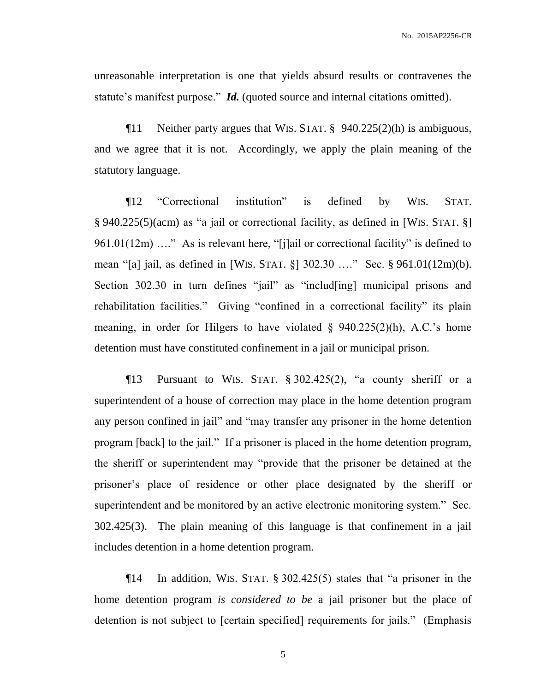unreasonable interpretation is one that yields absurd results or contravenes the statute's manifest purpose." *Id.* (quoted source and internal citations omitted).

¶11 Neither party argues that WIS. STAT. § 940.225(2)(h) is ambiguous, and we agree that it is not. Accordingly, we apply the plain meaning of the statutory language.

¶12 "Correctional institution" is defined by WIS. STAT. § 940.225(5)(acm) as "a jail or correctional facility, as defined in [WIS. STAT. §] 961.01(12m) ...." As is relevant here, "[j]ail or correctional facility" is defined to mean "[a] jail, as defined in [WIS. STAT. §] 302.30 …." Sec. § 961.01(12m)(b). Section 302.30 in turn defines "jail" as "includ[ing] municipal prisons and rehabilitation facilities." Giving "confined in a correctional facility" its plain meaning, in order for Hilgers to have violated  $\S$  940.225(2)(h), A.C.'s home detention must have constituted confinement in a jail or municipal prison.

 $\P$ 13 Pursuant to WIS. STAT. § 302.425(2), "a county sheriff or a superintendent of a house of correction may place in the home detention program any person confined in jail" and "may transfer any prisoner in the home detention program [back] to the jail." If a prisoner is placed in the home detention program, the sheriff or superintendent may "provide that the prisoner be detained at the prisoner's place of residence or other place designated by the sheriff or superintendent and be monitored by an active electronic monitoring system." Sec. 302.425(3). The plain meaning of this language is that confinement in a jail includes detention in a home detention program.

¶14 In addition, WIS. STAT. § 302.425(5) states that "a prisoner in the home detention program *is considered to be* a jail prisoner but the place of detention is not subject to [certain specified] requirements for jails." (Emphasis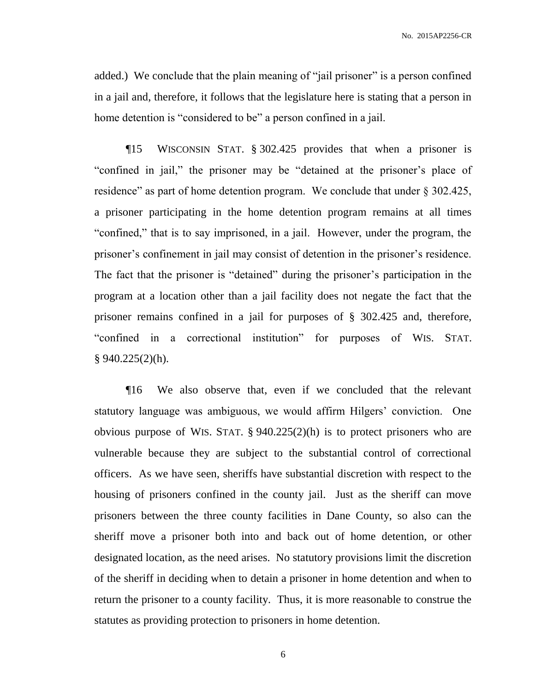added.) We conclude that the plain meaning of "jail prisoner" is a person confined in a jail and, therefore, it follows that the legislature here is stating that a person in home detention is "considered to be" a person confined in a jail.

¶15 WISCONSIN STAT. § 302.425 provides that when a prisoner is "confined in jail," the prisoner may be "detained at the prisoner's place of residence" as part of home detention program. We conclude that under § 302.425, a prisoner participating in the home detention program remains at all times "confined," that is to say imprisoned, in a jail. However, under the program, the prisoner's confinement in jail may consist of detention in the prisoner's residence. The fact that the prisoner is "detained" during the prisoner's participation in the program at a location other than a jail facility does not negate the fact that the prisoner remains confined in a jail for purposes of § 302.425 and, therefore, "confined in a correctional institution" for purposes of WIS. STAT.  $§ 940.225(2)(h).$ 

¶16 We also observe that, even if we concluded that the relevant statutory language was ambiguous, we would affirm Hilgers' conviction. One obvious purpose of WIS. STAT. § 940.225(2)(h) is to protect prisoners who are vulnerable because they are subject to the substantial control of correctional officers. As we have seen, sheriffs have substantial discretion with respect to the housing of prisoners confined in the county jail. Just as the sheriff can move prisoners between the three county facilities in Dane County, so also can the sheriff move a prisoner both into and back out of home detention, or other designated location, as the need arises. No statutory provisions limit the discretion of the sheriff in deciding when to detain a prisoner in home detention and when to return the prisoner to a county facility. Thus, it is more reasonable to construe the statutes as providing protection to prisoners in home detention.